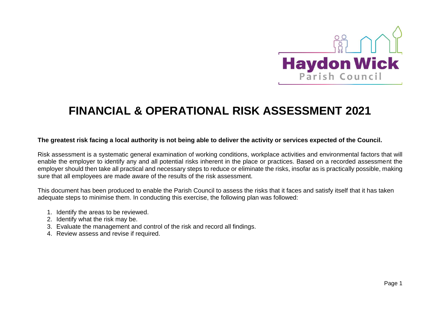

## **FINANCIAL & OPERATIONAL RISK ASSESSMENT 2021**

## **The greatest risk facing a local authority is not being able to deliver the activity or services expected of the Council.**

Risk assessment is a systematic general examination of working conditions, workplace activities and environmental factors that will enable the employer to identify any and all potential risks inherent in the place or practices. Based on a recorded assessment the employer should then take all practical and necessary steps to reduce or eliminate the risks, insofar as is practically possible, making sure that all employees are made aware of the results of the risk assessment.

This document has been produced to enable the Parish Council to assess the risks that it faces and satisfy itself that it has taken adequate steps to minimise them. In conducting this exercise, the following plan was followed:

- 1. Identify the areas to be reviewed.
- 2. Identify what the risk may be.
- 3. Evaluate the management and control of the risk and record all findings.
- 4. Review assess and revise if required.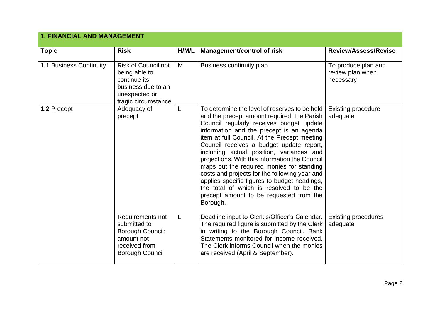| <b>1. FINANCIAL AND MANAGEMENT</b> |                                                                                                                           |       |                                                                                                                                                                                                                                                                                                                                                                                                                                                                                                                                                                                                                                 |                                                      |
|------------------------------------|---------------------------------------------------------------------------------------------------------------------------|-------|---------------------------------------------------------------------------------------------------------------------------------------------------------------------------------------------------------------------------------------------------------------------------------------------------------------------------------------------------------------------------------------------------------------------------------------------------------------------------------------------------------------------------------------------------------------------------------------------------------------------------------|------------------------------------------------------|
| <b>Topic</b>                       | <b>Risk</b>                                                                                                               | H/M/L | <b>Management/control of risk</b>                                                                                                                                                                                                                                                                                                                                                                                                                                                                                                                                                                                               | <b>Review/Assess/Revise</b>                          |
| <b>1.1 Business Continuity</b>     | <b>Risk of Council not</b><br>being able to<br>continue its<br>business due to an<br>unexpected or<br>tragic circumstance | M     | Business continuity plan                                                                                                                                                                                                                                                                                                                                                                                                                                                                                                                                                                                                        | To produce plan and<br>review plan when<br>necessary |
| 1.2 Precept                        | Adequacy of<br>precept                                                                                                    |       | To determine the level of reserves to be held<br>and the precept amount required, the Parish<br>Council regularly receives budget update<br>information and the precept is an agenda<br>item at full Council. At the Precept meeting<br>Council receives a budget update report,<br>including actual position, variances and<br>projections. With this information the Council<br>maps out the required monies for standing<br>costs and projects for the following year and<br>applies specific figures to budget headings,<br>the total of which is resolved to be the<br>precept amount to be requested from the<br>Borough. | <b>Existing procedure</b><br>adequate                |
|                                    | Requirements not<br>submitted to<br>Borough Council;<br>amount not<br>received from<br><b>Borough Council</b>             | L     | Deadline input to Clerk's/Officer's Calendar.<br>The required figure is submitted by the Clerk<br>in writing to the Borough Council. Bank<br>Statements monitored for income received.<br>The Clerk informs Council when the monies<br>are received (April & September).                                                                                                                                                                                                                                                                                                                                                        | <b>Existing procedures</b><br>adequate               |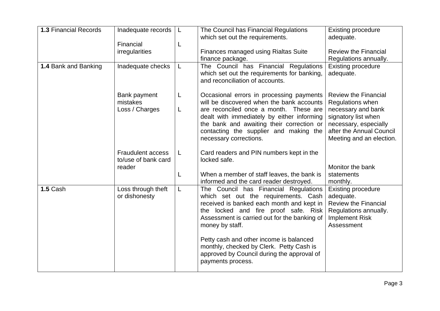| <b>1.3 Financial Records</b> |                                                 |        |                                                                                                                                                                                                                                       |                                                                                                                                       |
|------------------------------|-------------------------------------------------|--------|---------------------------------------------------------------------------------------------------------------------------------------------------------------------------------------------------------------------------------------|---------------------------------------------------------------------------------------------------------------------------------------|
|                              | Inadequate records                              | L      | The Council has Financial Regulations                                                                                                                                                                                                 | <b>Existing procedure</b>                                                                                                             |
|                              |                                                 |        | which set out the requirements.                                                                                                                                                                                                       | adequate.                                                                                                                             |
|                              | Financial                                       | L      |                                                                                                                                                                                                                                       |                                                                                                                                       |
|                              | irregularities                                  |        | Finances managed using Rialtas Suite                                                                                                                                                                                                  | <b>Review the Financial</b>                                                                                                           |
|                              |                                                 |        | finance package.                                                                                                                                                                                                                      | Regulations annually.                                                                                                                 |
| 1.4 Bank and Banking         | Inadequate checks                               | L      | The Council has Financial Regulations<br>which set out the requirements for banking,<br>and reconciliation of accounts.                                                                                                               | <b>Existing procedure</b><br>adequate.                                                                                                |
|                              | Bank payment<br>mistakes<br>Loss / Charges      | L<br>L | Occasional errors in processing payments<br>will be discovered when the bank accounts<br>are reconciled once a month. These are<br>dealt with immediately by either informing<br>the bank and awaiting their correction or            | <b>Review the Financial</b><br>Regulations when<br>necessary and bank<br>signatory list when<br>necessary, especially                 |
|                              |                                                 |        | contacting the supplier and making the<br>necessary corrections.                                                                                                                                                                      | after the Annual Council<br>Meeting and an election.                                                                                  |
|                              | <b>Fraudulent access</b><br>to/use of bank card | L      | Card readers and PIN numbers kept in the<br>locked safe.                                                                                                                                                                              |                                                                                                                                       |
|                              | reader                                          | L      | When a member of staff leaves, the bank is<br>informed and the card reader destroyed.                                                                                                                                                 | Monitor the bank<br>statements<br>monthly.                                                                                            |
| 1.5 Cash                     | Loss through theft<br>or dishonesty             | L      | The Council has Financial Regulations<br>which set out the requirements. Cash<br>received is banked each month and kept in<br>the locked and fire proof safe. Risk<br>Assessment is carried out for the banking of<br>money by staff. | <b>Existing procedure</b><br>adequate.<br><b>Review the Financial</b><br>Regulations annually.<br><b>Implement Risk</b><br>Assessment |
|                              |                                                 |        | Petty cash and other income is balanced<br>monthly, checked by Clerk. Petty Cash is<br>approved by Council during the approval of<br>payments process.                                                                                |                                                                                                                                       |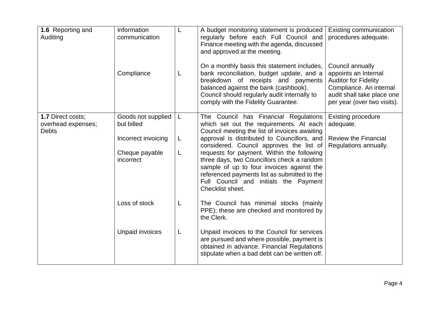| 1.6 Reporting and<br>Auditing                           | Information<br>communication     | L | A budget monitoring statement is produced<br>regularly before each Full Council and<br>Finance meeting with the agenda, discussed<br>and approved at the meeting.                                                                                                                              | <b>Existing communication</b><br>procedures adequate.                                                                                                           |
|---------------------------------------------------------|----------------------------------|---|------------------------------------------------------------------------------------------------------------------------------------------------------------------------------------------------------------------------------------------------------------------------------------------------|-----------------------------------------------------------------------------------------------------------------------------------------------------------------|
|                                                         | Compliance                       | L | On a monthly basis this statement includes,<br>bank reconciliation, budget update, and a<br>breakdown of receipts and payments<br>balanced against the bank (cashbook).<br>Council should regularly audit internally to<br>comply with the Fidelity Guarantee.                                 | Council annually<br>appoints an Internal<br><b>Auditor for Fidelity</b><br>Compliance. An internal<br>audit shall take place one<br>per year (over two visits). |
| 1.7 Direct costs;<br>overhead expenses;<br><b>Debts</b> | Goods not supplied<br>but billed | L | The Council has Financial Regulations<br>which set out the requirements. At each<br>Council meeting the list of invoices awaiting                                                                                                                                                              | <b>Existing procedure</b><br>adequate.                                                                                                                          |
|                                                         | Incorrect invoicing              | L | approval is distributed to Councillors, and                                                                                                                                                                                                                                                    | <b>Review the Financial</b>                                                                                                                                     |
|                                                         | Cheque payable<br>incorrect      | L | considered. Council approves the list of<br>requests for payment. Within the following<br>three days, two Councillors check a random<br>sample of up to four invoices against the<br>referenced payments list as submitted to the<br>Full Council and initials the Payment<br>Checklist sheet. | Regulations annually.                                                                                                                                           |
|                                                         | Loss of stock                    | L | The Council has minimal stocks (mainly<br>PPE); these are checked and monitored by<br>the Clerk.                                                                                                                                                                                               |                                                                                                                                                                 |
|                                                         | Unpaid invoices                  | L | Unpaid invoices to the Council for services<br>are pursued and where possible, payment is<br>obtained in advance. Financial Regulations<br>stipulate when a bad debt can be written off.                                                                                                       |                                                                                                                                                                 |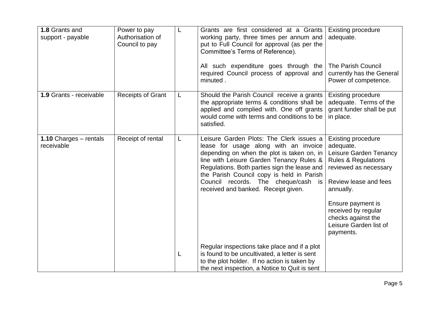| 1.8 Grants and<br>support - payable  | Power to pay<br>Authorisation of<br>Council to pay | L | Grants are first considered at a Grants<br>working party, three times per annum and<br>put to Full Council for approval (as per the<br>Committee's Terms of Reference).                                                                                                                                                                                | <b>Existing procedure</b><br>adequate.                                                                                                                            |
|--------------------------------------|----------------------------------------------------|---|--------------------------------------------------------------------------------------------------------------------------------------------------------------------------------------------------------------------------------------------------------------------------------------------------------------------------------------------------------|-------------------------------------------------------------------------------------------------------------------------------------------------------------------|
|                                      |                                                    |   | All such expenditure goes through the<br>required Council process of approval and<br>minuted.                                                                                                                                                                                                                                                          | <b>The Parish Council</b><br>currently has the General<br>Power of competence.                                                                                    |
| 1.9 Grants - receivable              | <b>Receipts of Grant</b>                           | L | Should the Parish Council receive a grants<br>the appropriate terms & conditions shall be<br>applied and complied with. One off grants<br>would come with terms and conditions to be<br>satisfied.                                                                                                                                                     | <b>Existing procedure</b><br>adequate. Terms of the<br>grant funder shall be put<br>in place.                                                                     |
| 1.10 Charges - rentals<br>receivable | Receipt of rental                                  | L | Leisure Garden Plots: The Clerk issues a<br>lease for usage along with an invoice<br>depending on when the plot is taken on, in<br>line with Leisure Garden Tenancy Rules &<br>Regulations. Both parties sign the lease and<br>the Parish Council copy is held in Parish<br>Council records. The cheque/cash is<br>received and banked. Receipt given. | <b>Existing procedure</b><br>adequate.<br>Leisure Garden Tenancy<br><b>Rules &amp; Regulations</b><br>reviewed as necessary<br>Review lease and fees<br>annually. |
|                                      |                                                    |   |                                                                                                                                                                                                                                                                                                                                                        | Ensure payment is<br>received by regular<br>checks against the<br>Leisure Garden list of<br>payments.                                                             |
|                                      |                                                    | L | Regular inspections take place and if a plot<br>is found to be uncultivated, a letter is sent<br>to the plot holder. If no action is taken by<br>the next inspection, a Notice to Quit is sent                                                                                                                                                         |                                                                                                                                                                   |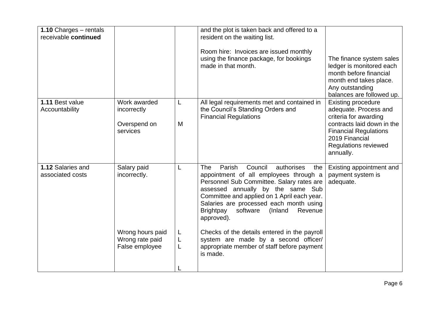|                                                                                      |                  | and the plot is taken back and offered to a<br>resident on the waiting list.<br>Room hire: Invoices are issued monthly<br>using the finance package, for bookings<br>made in that month.                                                                                                                                                                                                                                                                                                         | The finance system sales<br>ledger is monitored each<br>month before financial<br>month end takes place.<br>Any outstanding<br>balances are followed up.                                                |
|--------------------------------------------------------------------------------------|------------------|--------------------------------------------------------------------------------------------------------------------------------------------------------------------------------------------------------------------------------------------------------------------------------------------------------------------------------------------------------------------------------------------------------------------------------------------------------------------------------------------------|---------------------------------------------------------------------------------------------------------------------------------------------------------------------------------------------------------|
| incorrectly<br>Overspend on<br>services                                              | L<br>M           | the Council's Standing Orders and<br><b>Financial Regulations</b>                                                                                                                                                                                                                                                                                                                                                                                                                                | <b>Existing procedure</b><br>adequate. Process and<br>criteria for awarding<br>contracts laid down in the<br><b>Financial Regulations</b><br>2019 Financial<br><b>Regulations reviewed</b><br>annually. |
| Salary paid<br>incorrectly.<br>Wrong hours paid<br>Wrong rate paid<br>False employee | L<br>L<br>L<br>L | Parish<br>Council<br><b>The</b><br>authorises<br>the<br>appointment of all employees through a<br>Personnel Sub Committee. Salary rates are<br>assessed annually by the same Sub<br>Committee and applied on 1 April each year.<br>Salaries are processed each month using<br><b>Brightpay</b><br>software<br>(Inland<br>Revenue<br>approved).<br>Checks of the details entered in the payroll<br>system are made by a second officer/<br>appropriate member of staff before payment<br>is made. | Existing appointment and<br>payment system is<br>adequate.                                                                                                                                              |
|                                                                                      | Work awarded     |                                                                                                                                                                                                                                                                                                                                                                                                                                                                                                  | All legal requirements met and contained in                                                                                                                                                             |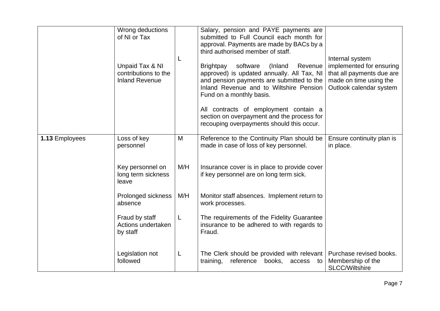|                | Wrong deductions<br>of NI or Tax                                 | L   | Salary, pension and PAYE payments are<br>submitted to Full Council each month for<br>approval. Payments are made by BACs by a<br>third authorised member of staff.                                                   | Internal system                                                                                            |
|----------------|------------------------------------------------------------------|-----|----------------------------------------------------------------------------------------------------------------------------------------------------------------------------------------------------------------------|------------------------------------------------------------------------------------------------------------|
|                | Unpaid Tax & NI<br>contributions to the<br><b>Inland Revenue</b> |     | software<br><b>Brightpay</b><br>(Inland<br>Revenue<br>approved) is updated annually. All Tax, NI<br>and pension payments are submitted to the<br>Inland Revenue and to Wiltshire Pension<br>Fund on a monthly basis. | implemented for ensuring<br>that all payments due are<br>made on time using the<br>Outlook calendar system |
|                |                                                                  |     | All contracts of employment contain a<br>section on overpayment and the process for<br>recouping overpayments should this occur.                                                                                     |                                                                                                            |
| 1.13 Employees | Loss of key<br>personnel                                         | M   | Reference to the Continuity Plan should be<br>made in case of loss of key personnel.                                                                                                                                 | Ensure continuity plan is<br>in place.                                                                     |
|                | Key personnel on<br>long term sickness<br>leave                  | M/H | Insurance cover is in place to provide cover<br>if key personnel are on long term sick.                                                                                                                              |                                                                                                            |
|                | Prolonged sickness<br>absence                                    | M/H | Monitor staff absences. Implement return to<br>work processes.                                                                                                                                                       |                                                                                                            |
|                | Fraud by staff<br>Actions undertaken<br>by staff                 | L   | The requirements of the Fidelity Guarantee<br>insurance to be adhered to with regards to<br>Fraud.                                                                                                                   |                                                                                                            |
|                | Legislation not<br>followed                                      | L   | The Clerk should be provided with relevant<br>reference<br>books,<br>training,<br>access<br>to                                                                                                                       | Purchase revised books.<br>Membership of the<br><b>SLCC/Wiltshire</b>                                      |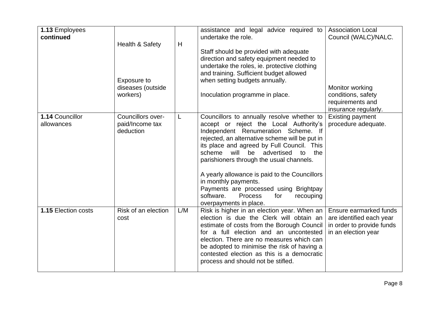| 1.13 Employees      |                            |     | assistance and legal advice required to         | <b>Association Local</b>  |
|---------------------|----------------------------|-----|-------------------------------------------------|---------------------------|
| continued           |                            |     | undertake the role.                             | Council (WALC)/NALC.      |
|                     | <b>Health &amp; Safety</b> | H   |                                                 |                           |
|                     |                            |     | Staff should be provided with adequate          |                           |
|                     |                            |     | direction and safety equipment needed to        |                           |
|                     |                            |     | undertake the roles, ie. protective clothing    |                           |
|                     |                            |     | and training. Sufficient budget allowed         |                           |
|                     | Exposure to                |     | when setting budgets annually.                  |                           |
|                     | diseases (outside          |     |                                                 | Monitor working           |
|                     | workers)                   |     | Inoculation programme in place.                 | conditions, safety        |
|                     |                            |     |                                                 | requirements and          |
|                     |                            |     |                                                 | insurance regularly.      |
| 1.14 Councillor     | Councillors over-          | L   | Councillors to annually resolve whether to      | <b>Existing payment</b>   |
| allowances          | paid/Income tax            |     | accept or reject the Local Authority's          | procedure adequate.       |
|                     | deduction                  |     | Independent Renumeration Scheme. If             |                           |
|                     |                            |     | rejected, an alternative scheme will be put in  |                           |
|                     |                            |     | its place and agreed by Full Council. This      |                           |
|                     |                            |     | scheme<br>will be advertised<br>to<br>the       |                           |
|                     |                            |     | parishioners through the usual channels.        |                           |
|                     |                            |     |                                                 |                           |
|                     |                            |     | A yearly allowance is paid to the Councillors   |                           |
|                     |                            |     | in monthly payments.                            |                           |
|                     |                            |     | Payments are processed using Brightpay          |                           |
|                     |                            |     | software.<br><b>Process</b><br>for<br>recouping |                           |
|                     |                            |     | overpayments in place.                          |                           |
| 1.15 Election costs | Risk of an election        | L/M | Risk is higher in an election year. When an     | Ensure earmarked funds    |
|                     | cost                       |     | election is due the Clerk will obtain an        | are identified each year  |
|                     |                            |     | estimate of costs from the Borough Council      | in order to provide funds |
|                     |                            |     | for a full election and an uncontested          | in an election year       |
|                     |                            |     | election. There are no measures which can       |                           |
|                     |                            |     | be adopted to minimise the risk of having a     |                           |
|                     |                            |     | contested election as this is a democratic      |                           |
|                     |                            |     | process and should not be stifled.              |                           |
|                     |                            |     |                                                 |                           |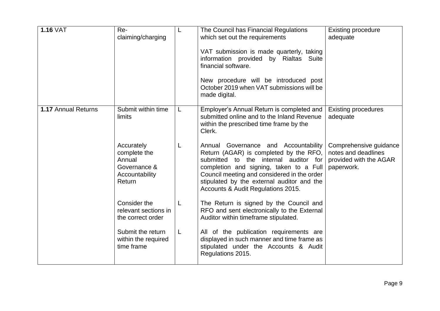| <b>1.16 VAT</b>     | Re-<br>claiming/charging                                                         | L  | The Council has Financial Regulations<br>which set out the requirements<br>VAT submission is made quarterly, taking<br>information provided by Rialtas Suite<br>financial software.<br>New procedure will be introduced post<br>October 2019 when VAT submissions will be<br>made digital.               | <b>Existing procedure</b><br>adequate                                                 |
|---------------------|----------------------------------------------------------------------------------|----|----------------------------------------------------------------------------------------------------------------------------------------------------------------------------------------------------------------------------------------------------------------------------------------------------------|---------------------------------------------------------------------------------------|
| 1.17 Annual Returns | Submit within time<br>limits                                                     | L. | Employer's Annual Return is completed and<br>submitted online and to the Inland Revenue<br>within the prescribed time frame by the<br>Clerk.                                                                                                                                                             | <b>Existing procedures</b><br>adequate                                                |
|                     | Accurately<br>complete the<br>Annual<br>Governance &<br>Accountability<br>Return | L  | Annual Governance and Accountability<br>Return (AGAR) is completed by the RFO,<br>submitted to the internal auditor<br>for<br>completion and signing, taken to a Full<br>Council meeting and considered in the order<br>stipulated by the external auditor and the<br>Accounts & Audit Regulations 2015. | Comprehensive guidance<br>notes and deadlines<br>provided with the AGAR<br>paperwork. |
|                     | Consider the<br>relevant sections in<br>the correct order                        | L  | The Return is signed by the Council and<br>RFO and sent electronically to the External<br>Auditor within timeframe stipulated.                                                                                                                                                                           |                                                                                       |
|                     | Submit the return<br>within the required<br>time frame                           | L  | All of the publication requirements are<br>displayed in such manner and time frame as<br>stipulated under the Accounts & Audit<br>Regulations 2015.                                                                                                                                                      |                                                                                       |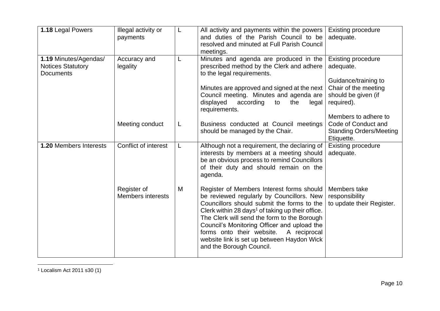| Illegal activity or<br>payments         | L | All activity and payments within the powers<br>and duties of the Parish Council to be                                                                                                                                                                                                                                                                                                                                     | <b>Existing procedure</b><br>adequate.                                            |
|-----------------------------------------|---|---------------------------------------------------------------------------------------------------------------------------------------------------------------------------------------------------------------------------------------------------------------------------------------------------------------------------------------------------------------------------------------------------------------------------|-----------------------------------------------------------------------------------|
|                                         |   | meetings.                                                                                                                                                                                                                                                                                                                                                                                                                 |                                                                                   |
| Accuracy and<br>legality                | L | Minutes and agenda are produced in the<br>prescribed method by the Clerk and adhere<br>to the legal requirements.                                                                                                                                                                                                                                                                                                         | <b>Existing procedure</b><br>adequate.                                            |
|                                         |   | Minutes are approved and signed at the next<br>Council meeting. Minutes and agenda are<br>displayed<br>according<br>the<br>to<br>legal                                                                                                                                                                                                                                                                                    | Guidance/training to<br>Chair of the meeting<br>should be given (if<br>required). |
| Meeting conduct                         | L | Business conducted at Council meetings<br>should be managed by the Chair.                                                                                                                                                                                                                                                                                                                                                 | Members to adhere to<br>Code of Conduct and<br><b>Standing Orders/Meeting</b>     |
| Conflict of interest                    | L | Although not a requirement, the declaring of<br>interests by members at a meeting should<br>be an obvious process to remind Councillors<br>of their duty and should remain on the<br>agenda.                                                                                                                                                                                                                              | Etiquette.<br><b>Existing procedure</b><br>adequate.                              |
| Register of<br><b>Members interests</b> | M | Register of Members Interest forms should<br>be reviewed regularly by Councillors. New<br>Councillors should submit the forms to the<br>Clerk within 28 days <sup>1</sup> of taking up their office.<br>The Clerk will send the form to the Borough<br>Council's Monitoring Officer and upload the<br>forms onto their website.<br>A reciprocal<br>website link is set up between Haydon Wick<br>and the Borough Council. | Members take<br>responsibility<br>to update their Register.                       |
|                                         |   |                                                                                                                                                                                                                                                                                                                                                                                                                           | resolved and minuted at Full Parish Council<br>requirements.                      |

<sup>1</sup> Localism Act 2011 s30 (1)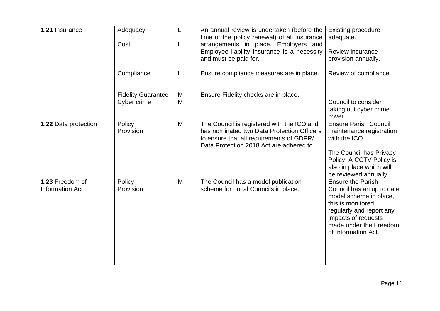| 1.21 Insurance                            | Adequacy<br>Cost                         | L<br>L | An annual review is undertaken (before the<br>time of the policy renewal) of all insurance<br>arrangements in place. Employers and                                               | <b>Existing procedure</b><br>adequate.                                                                                                                                                                   |
|-------------------------------------------|------------------------------------------|--------|----------------------------------------------------------------------------------------------------------------------------------------------------------------------------------|----------------------------------------------------------------------------------------------------------------------------------------------------------------------------------------------------------|
|                                           |                                          |        | Employee liability insurance is a necessity<br>and must be paid for.                                                                                                             | <b>Review insurance</b><br>provision annually.                                                                                                                                                           |
|                                           | Compliance                               | L      | Ensure compliance measures are in place.                                                                                                                                         | Review of compliance.                                                                                                                                                                                    |
|                                           | <b>Fidelity Guarantee</b><br>Cyber crime | M<br>M | Ensure Fidelity checks are in place.                                                                                                                                             | Council to consider<br>taking out cyber crime                                                                                                                                                            |
|                                           |                                          |        |                                                                                                                                                                                  | cover                                                                                                                                                                                                    |
| 1.22 Data protection                      | Policy<br>Provision                      | M      | The Council is registered with the ICO and<br>has nominated two Data Protection Officers<br>to ensure that all requirements of GDPR/<br>Data Protection 2018 Act are adhered to. | <b>Ensure Parish Council</b><br>maintenance registration<br>with the ICO.                                                                                                                                |
|                                           |                                          |        |                                                                                                                                                                                  | The Council has Privacy<br>Policy. A CCTV Policy is<br>also in place which will<br>be reviewed annually.                                                                                                 |
| 1.23 Freedom of<br><b>Information Act</b> | Policy<br>Provision                      | M      | The Council has a model publication<br>scheme for Local Councils in place.                                                                                                       | <b>Ensure the Parish</b><br>Council has an up to date<br>model scheme in place,<br>this is monitored<br>regularly and report any<br>impacts of requests<br>made under the Freedom<br>of Information Act. |
|                                           |                                          |        |                                                                                                                                                                                  |                                                                                                                                                                                                          |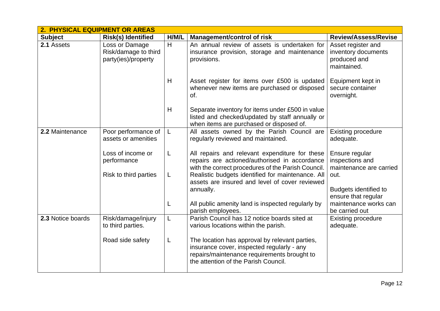|                   | 2. PHYSICAL EQUIPMENT OR AREAS                                |       |                                                                                                                                                                                     |                                                                          |  |  |  |
|-------------------|---------------------------------------------------------------|-------|-------------------------------------------------------------------------------------------------------------------------------------------------------------------------------------|--------------------------------------------------------------------------|--|--|--|
| <b>Subject</b>    | <b>Risk(s) Identified</b>                                     | H/M/L | <b>Management/control of risk</b>                                                                                                                                                   | <b>Review/Assess/Revise</b>                                              |  |  |  |
| 2.1 Assets        | Loss or Damage<br>Risk/damage to third<br>party(ies)/property | H     | An annual review of assets is undertaken for<br>insurance provision, storage and maintenance<br>provisions.                                                                         | Asset register and<br>inventory documents<br>produced and<br>maintained. |  |  |  |
|                   |                                                               | H     | Asset register for items over £500 is updated<br>whenever new items are purchased or disposed<br>of.                                                                                | Equipment kept in<br>secure container<br>overnight.                      |  |  |  |
|                   |                                                               | H     | Separate inventory for items under £500 in value<br>listed and checked/updated by staff annually or<br>when items are purchased or disposed of.                                     |                                                                          |  |  |  |
| 2.2 Maintenance   | Poor performance of<br>assets or amenities                    | L     | All assets owned by the Parish Council are<br>regularly reviewed and maintained.                                                                                                    | <b>Existing procedure</b><br>adequate.                                   |  |  |  |
|                   | Loss of income or<br>performance                              | L     | All repairs and relevant expenditure for these<br>repairs are actioned/authorised in accordance<br>with the correct procedures of the Parish Council.                               | Ensure regular<br>inspections and<br>maintenance are carried             |  |  |  |
|                   | Risk to third parties                                         | L     | Realistic budgets identified for maintenance. All<br>assets are insured and level of cover reviewed<br>annually.                                                                    | out.<br>Budgets identified to                                            |  |  |  |
|                   |                                                               | L     | All public amenity land is inspected regularly by<br>parish employees.                                                                                                              | ensure that regular<br>maintenance works can<br>be carried out           |  |  |  |
| 2.3 Notice boards | Risk/damage/injury<br>to third parties.                       | L     | Parish Council has 12 notice boards sited at<br>various locations within the parish.                                                                                                | <b>Existing procedure</b><br>adequate.                                   |  |  |  |
|                   | Road side safety                                              | L     | The location has approval by relevant parties,<br>insurance cover, inspected regularly - any<br>repairs/maintenance requirements brought to<br>the attention of the Parish Council. |                                                                          |  |  |  |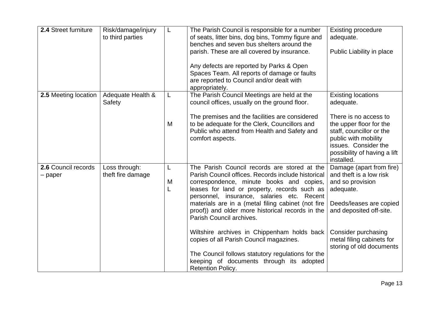| 2.4 Street furniture             | Risk/damage/injury<br>to third parties | L           | The Parish Council is responsible for a number<br>of seats, litter bins, dog bins, Tommy figure and<br>benches and seven bus shelters around the<br>parish. These are all covered by insurance.                                                                                                                                                                                    | <b>Existing procedure</b><br>adequate.<br>Public Liability in place                                                                                                        |
|----------------------------------|----------------------------------------|-------------|------------------------------------------------------------------------------------------------------------------------------------------------------------------------------------------------------------------------------------------------------------------------------------------------------------------------------------------------------------------------------------|----------------------------------------------------------------------------------------------------------------------------------------------------------------------------|
|                                  |                                        |             | Any defects are reported by Parks & Open<br>Spaces Team. All reports of damage or faults<br>are reported to Council and/or dealt with<br>appropriately.                                                                                                                                                                                                                            |                                                                                                                                                                            |
| 2.5 Meeting location             | Adequate Health &<br>Safety            | L           | The Parish Council Meetings are held at the<br>council offices, usually on the ground floor.                                                                                                                                                                                                                                                                                       | <b>Existing locations</b><br>adequate.                                                                                                                                     |
|                                  |                                        | M           | The premises and the facilities are considered<br>to be adequate for the Clerk, Councillors and<br>Public who attend from Health and Safety and<br>comfort aspects.                                                                                                                                                                                                                | There is no access to<br>the upper floor for the<br>staff, councillor or the<br>public with mobility<br>issues. Consider the<br>possibility of having a lift<br>installed. |
| 2.6 Council records<br>$-$ paper | Loss through:<br>theft fire damage     | L<br>M<br>L | The Parish Council records are stored at the<br>Parish Council offices. Records include historical<br>correspondence, minute books and copies,<br>leases for land or property, records such as<br>personnel, insurance, salaries etc. Recent<br>materials are in a (metal filing cabinet (not fire<br>proof)) and older more historical records in the<br>Parish Council archives. | Damage (apart from fire)<br>and theft is a low risk<br>and so provision<br>adequate.<br>Deeds/leases are copied<br>and deposited off-site.                                 |
|                                  |                                        |             | Wiltshire archives in Chippenham holds back<br>copies of all Parish Council magazines.<br>The Council follows statutory regulations for the<br>keeping of documents through its adopted<br><b>Retention Policy.</b>                                                                                                                                                                | Consider purchasing<br>metal filing cabinets for<br>storing of old documents                                                                                               |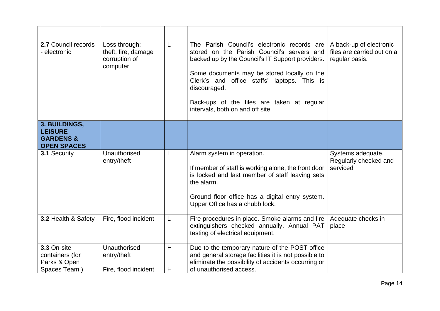| 2.7 Council records<br>- electronic                            | Loss through:<br>theft, fire, damage<br>corruption of<br>computer |        | The Parish Council's electronic records are<br>stored on the Parish Council's servers and<br>backed up by the Council's IT Support providers.<br>Some documents may be stored locally on the<br>Clerk's and office staffs' laptops. This is<br>discouraged.<br>Back-ups of the files are taken at regular<br>intervals, both on and off site. | A back-up of electronic<br>files are carried out on a<br>regular basis. |
|----------------------------------------------------------------|-------------------------------------------------------------------|--------|-----------------------------------------------------------------------------------------------------------------------------------------------------------------------------------------------------------------------------------------------------------------------------------------------------------------------------------------------|-------------------------------------------------------------------------|
| 3. BUILDINGS,                                                  |                                                                   |        |                                                                                                                                                                                                                                                                                                                                               |                                                                         |
| <b>LEISURE</b><br><b>GARDENS &amp;</b><br><b>OPEN SPACES</b>   |                                                                   |        |                                                                                                                                                                                                                                                                                                                                               |                                                                         |
| 3.1 Security                                                   | Unauthorised<br>entry/theft                                       |        | Alarm system in operation.<br>If member of staff is working alone, the front door<br>is locked and last member of staff leaving sets<br>the alarm.<br>Ground floor office has a digital entry system.<br>Upper Office has a chubb lock.                                                                                                       | Systems adequate.<br>Regularly checked and<br>serviced                  |
| 3.2 Health & Safety                                            | Fire, flood incident                                              |        | Fire procedures in place. Smoke alarms and fire<br>extinguishers checked annually. Annual PAT<br>testing of electrical equipment.                                                                                                                                                                                                             | Adequate checks in<br>place                                             |
| 3.3 On-site<br>containers (for<br>Parks & Open<br>Spaces Team) | Unauthorised<br>entry/theft<br>Fire, flood incident               | H<br>H | Due to the temporary nature of the POST office<br>and general storage facilities it is not possible to<br>eliminate the possibility of accidents occurring or<br>of unauthorised access.                                                                                                                                                      |                                                                         |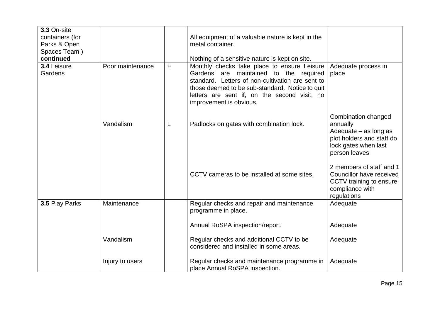| 3.3 On-site<br>containers (for<br>Parks & Open<br>Spaces Team)<br>continued |                  |   | All equipment of a valuable nature is kept in the<br>metal container.<br>Nothing of a sensitive nature is kept on site.                                                                                                                                                 |                                                                                                                                  |
|-----------------------------------------------------------------------------|------------------|---|-------------------------------------------------------------------------------------------------------------------------------------------------------------------------------------------------------------------------------------------------------------------------|----------------------------------------------------------------------------------------------------------------------------------|
| 3.4 Leisure<br>Gardens                                                      | Poor maintenance | H | Monthly checks take place to ensure Leisure<br>Gardens are maintained to the required<br>standard. Letters of non-cultivation are sent to<br>those deemed to be sub-standard. Notice to quit<br>letters are sent if, on the second visit, no<br>improvement is obvious. | Adequate process in<br>place                                                                                                     |
|                                                                             | Vandalism        | L | Padlocks on gates with combination lock.                                                                                                                                                                                                                                | Combination changed<br>annually<br>Adequate $-$ as long as<br>plot holders and staff do<br>lock gates when last<br>person leaves |
|                                                                             |                  |   | CCTV cameras to be installed at some sites.                                                                                                                                                                                                                             | 2 members of staff and 1<br>Councillor have received<br>CCTV training to ensure<br>compliance with<br>regulations                |
| 3.5 Play Parks                                                              | Maintenance      |   | Regular checks and repair and maintenance<br>programme in place.                                                                                                                                                                                                        | Adequate                                                                                                                         |
|                                                                             |                  |   | Annual RoSPA inspection/report.                                                                                                                                                                                                                                         | Adequate                                                                                                                         |
|                                                                             | Vandalism        |   | Regular checks and additional CCTV to be<br>considered and installed in some areas.                                                                                                                                                                                     | Adequate                                                                                                                         |
|                                                                             | Injury to users  |   | Regular checks and maintenance programme in<br>place Annual RoSPA inspection.                                                                                                                                                                                           | Adequate                                                                                                                         |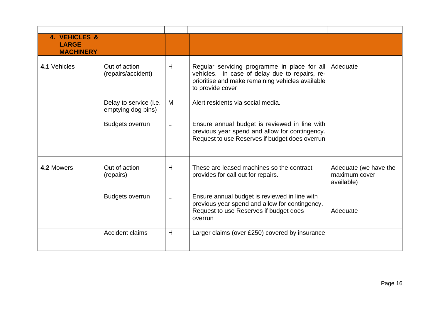| 4. VEHICLES &<br><b>LARGE</b><br><b>MACHINERY</b> |                                              |   |                                                                                                                                                                        |                                                      |
|---------------------------------------------------|----------------------------------------------|---|------------------------------------------------------------------------------------------------------------------------------------------------------------------------|------------------------------------------------------|
| 4.1 Vehicles                                      | Out of action<br>(repairs/accident)          | H | Regular servicing programme in place for all<br>vehicles. In case of delay due to repairs, re-<br>prioritise and make remaining vehicles available<br>to provide cover | Adequate                                             |
|                                                   | Delay to service (i.e.<br>emptying dog bins) | M | Alert residents via social media.                                                                                                                                      |                                                      |
|                                                   | <b>Budgets overrun</b>                       | L | Ensure annual budget is reviewed in line with<br>previous year spend and allow for contingency.<br>Request to use Reserves if budget does overrun                      |                                                      |
| 4.2 Mowers                                        | Out of action<br>(repairs)                   | H | These are leased machines so the contract<br>provides for call out for repairs.                                                                                        | Adequate (we have the<br>maximum cover<br>available) |
|                                                   | <b>Budgets overrun</b>                       | L | Ensure annual budget is reviewed in line with<br>previous year spend and allow for contingency.<br>Request to use Reserves if budget does<br>overrun                   | Adequate                                             |
|                                                   | <b>Accident claims</b>                       | H | Larger claims (over £250) covered by insurance                                                                                                                         |                                                      |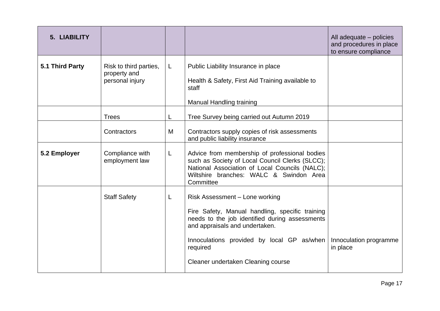| 5. LIABILITY    |                                                           |    |                                                                                                                                                                                                                                                                       | All adequate – policies<br>and procedures in place<br>to ensure compliance |
|-----------------|-----------------------------------------------------------|----|-----------------------------------------------------------------------------------------------------------------------------------------------------------------------------------------------------------------------------------------------------------------------|----------------------------------------------------------------------------|
| 5.1 Third Party | Risk to third parties,<br>property and<br>personal injury | L  | Public Liability Insurance in place<br>Health & Safety, First Aid Training available to<br>staff<br><b>Manual Handling training</b>                                                                                                                                   |                                                                            |
|                 | <b>Trees</b>                                              |    | Tree Survey being carried out Autumn 2019                                                                                                                                                                                                                             |                                                                            |
|                 | Contractors                                               | M  | Contractors supply copies of risk assessments<br>and public liability insurance                                                                                                                                                                                       |                                                                            |
| 5.2 Employer    | Compliance with<br>employment law                         | L. | Advice from membership of professional bodies<br>such as Society of Local Council Clerks (SLCC);<br>National Association of Local Councils (NALC);<br>Wiltshire branches: WALC & Swindon Area<br>Committee                                                            |                                                                            |
|                 | <b>Staff Safety</b>                                       | L  | Risk Assessment - Lone working<br>Fire Safety, Manual handling, specific training<br>needs to the job identified during assessments<br>and appraisals and undertaken.<br>Innoculations provided by local GP as/when<br>required<br>Cleaner undertaken Cleaning course | Innoculation programme<br>in place                                         |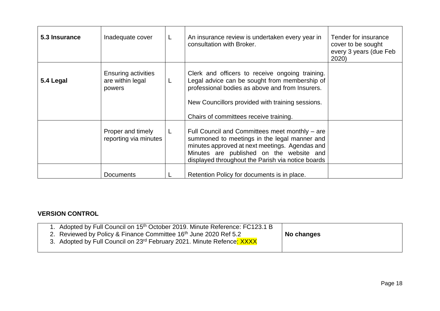| 5.3 Insurance | Inadequate cover                                         | L  | An insurance review is undertaken every year in<br>consultation with Broker.                                                                                                                                                                      | Tender for insurance<br>cover to be sought<br>every 3 years (due Feb<br>2020) |
|---------------|----------------------------------------------------------|----|---------------------------------------------------------------------------------------------------------------------------------------------------------------------------------------------------------------------------------------------------|-------------------------------------------------------------------------------|
| 5.4 Legal     | <b>Ensuring activities</b><br>are within legal<br>powers |    | Clerk and officers to receive ongoing training.<br>Legal advice can be sought from membership of<br>professional bodies as above and from Insurers.<br>New Councillors provided with training sessions.<br>Chairs of committees receive training. |                                                                               |
|               | Proper and timely<br>reporting via minutes               | L. | Full Council and Committees meet monthly – are<br>summoned to meetings in the legal manner and<br>minutes approved at next meetings. Agendas and<br>Minutes are published on the website and<br>displayed throughout the Parish via notice boards |                                                                               |
|               | <b>Documents</b>                                         |    | Retention Policy for documents is in place.                                                                                                                                                                                                       |                                                                               |

## **VERSION CONTROL**

| 1. Adopted by Full Council on 15 <sup>th</sup> October 2019. Minute Reference: FC123.1 B<br>2. Reviewed by Policy & Finance Committee 16 <sup>th</sup> June 2020 Ref 5.2<br>3. Adopted by Full Council on 23rd February 2021. Minute Refence: XXXX | No changes |
|----------------------------------------------------------------------------------------------------------------------------------------------------------------------------------------------------------------------------------------------------|------------|
|----------------------------------------------------------------------------------------------------------------------------------------------------------------------------------------------------------------------------------------------------|------------|